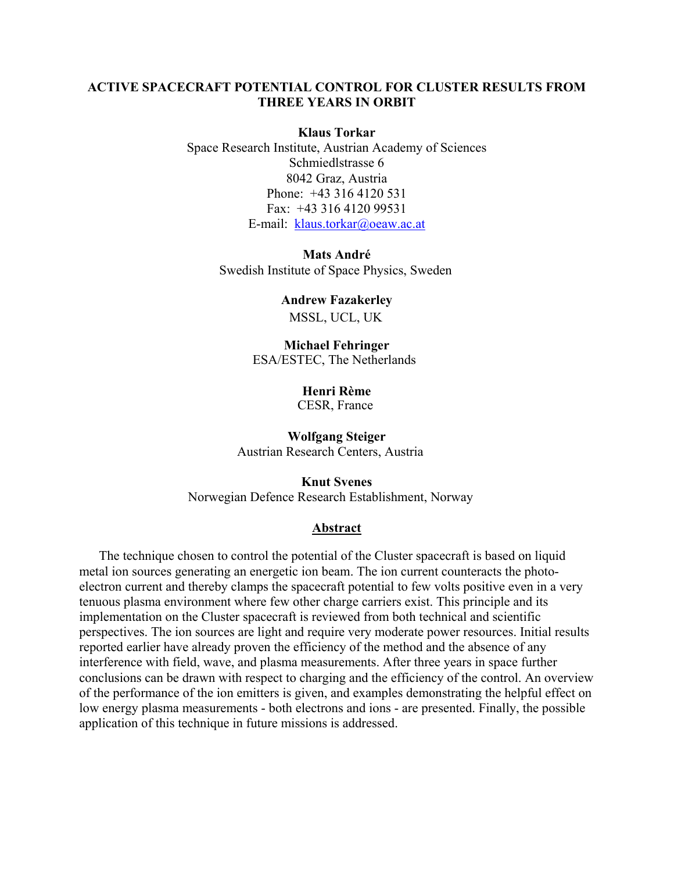## **ACTIVE SPACECRAFT POTENTIAL CONTROL FOR CLUSTER RESULTS FROM THREE YEARS IN ORBIT**

## **Klaus Torkar**

Space Research Institute, Austrian Academy of Sciences Schmiedlstrasse 6 8042 Graz, Austria Phone: +43 316 4120 531 Fax: +43 316 4120 99531 E-mail: [klaus.torkar@oeaw.ac.at](mailto:klaus.torkar@oeaw.ac.at)

> **Mats André**  Swedish Institute of Space Physics, Sweden

> > **Andrew Fazakerley**  MSSL, UCL, UK

**Michael Fehringer**  ESA/ESTEC, The Netherlands

> **Henri Rème**  CESR, France

**Wolfgang Steiger**  Austrian Research Centers, Austria

**Knut Svenes**  Norwegian Defence Research Establishment, Norway

## **Abstract**

The technique chosen to control the potential of the Cluster spacecraft is based on liquid metal ion sources generating an energetic ion beam. The ion current counteracts the photoelectron current and thereby clamps the spacecraft potential to few volts positive even in a very tenuous plasma environment where few other charge carriers exist. This principle and its implementation on the Cluster spacecraft is reviewed from both technical and scientific perspectives. The ion sources are light and require very moderate power resources. Initial results reported earlier have already proven the efficiency of the method and the absence of any interference with field, wave, and plasma measurements. After three years in space further conclusions can be drawn with respect to charging and the efficiency of the control. An overview of the performance of the ion emitters is given, and examples demonstrating the helpful effect on low energy plasma measurements - both electrons and ions - are presented. Finally, the possible application of this technique in future missions is addressed.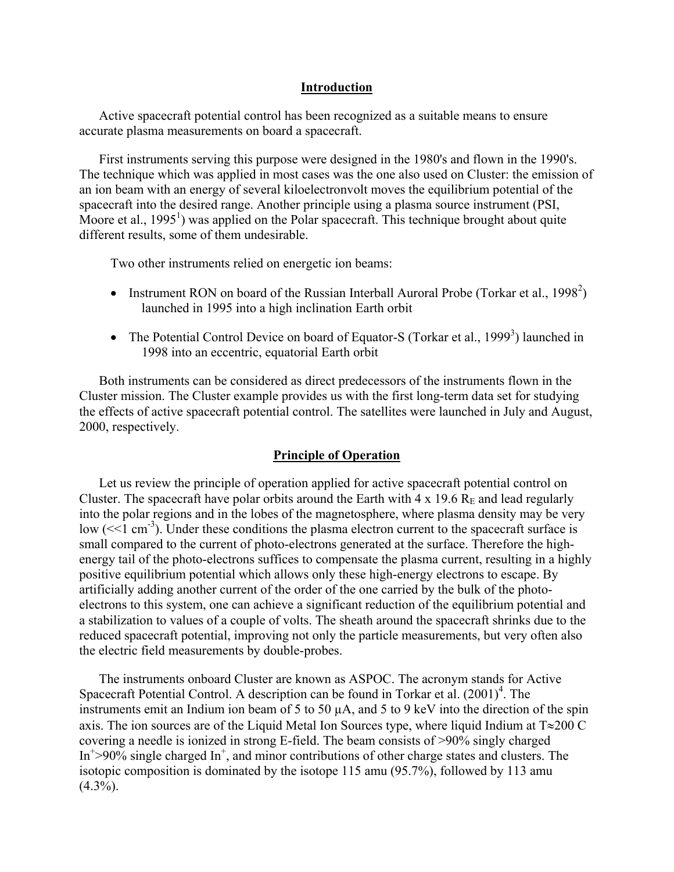### **Introduction**

Active spacecraft potential control has been recognized as a suitable means to ensure accurate plasma measurements on board a spacecraft.

First instruments serving this purpose were designed in the 1980's and flown in the 1990's. The technique which was applied in most cases was the one also used on Cluster: the emission of an ion beam with an energy of several kiloelectronvolt moves the equilibrium potential of the spacecraft into the desired range. Another principle using a plasma source instrument (PSI, Moore et al.,  $1995<sup>1</sup>$ ) was applied on the Polar spacecraft. This technique brought about quite different results, some of them undesirable.

Two other instruments relied on energetic ion beams:

- Instrument RON on board of the Russian Interball Auroral Probe (Torkar et al., 1998<sup>2</sup>) launched in 1995 into a high inclination Earth orbit
- The Potential Control Device on board of Equator-S (Torkar et al., 1999<sup>3</sup>) launched in 1998 into an eccentric, equatorial Earth orbit

Both instruments can be considered as direct predecessors of the instruments flown in the Cluster mission. The Cluster example provides us with the first long-term data set for studying the effects of active spacecraft potential control. The satellites were launched in July and August, 2000, respectively.

### **Principle of Operation**

Let us review the principle of operation applied for active spacecraft potential control on Cluster. The spacecraft have polar orbits around the Earth with  $4 \times 19.6$  R<sub>E</sub> and lead regularly into the polar regions and in the lobes of the magnetosphere, where plasma density may be very low  $(\leq 1 \text{ cm}^{-3})$ . Under these conditions the plasma electron current to the spacecraft surface is small compared to the current of photo-electrons generated at the surface. Therefore the highenergy tail of the photo-electrons suffices to compensate the plasma current, resulting in a highly positive equilibrium potential which allows only these high-energy electrons to escape. By artificially adding another current of the order of the one carried by the bulk of the photoelectrons to this system, one can achieve a significant reduction of the equilibrium potential and a stabilization to values of a couple of volts. The sheath around the spacecraft shrinks due to the reduced spacecraft potential, improving not only the particle measurements, but very often also the electric field measurements by double-probes.

The instruments onboard Cluster are known as ASPOC. The acronym stands for Active Spacecraft Potential Control. A description can be found in Torkar et al.  $(2001)^4$ . The instruments emit an Indium ion beam of 5 to 50 µA, and 5 to 9 keV into the direction of the spin axis. The ion sources are of the Liquid Metal Ion Sources type, where liquid Indium at T≈200 C covering a needle is ionized in strong E-field. The beam consists of >90% singly charged In<sup>+</sup>>90% single charged In<sup>+</sup>, and minor contributions of other charge states and clusters. The isotopic composition is dominated by the isotope 115 amu (95.7%), followed by 113 amu  $(4.3\%)$ .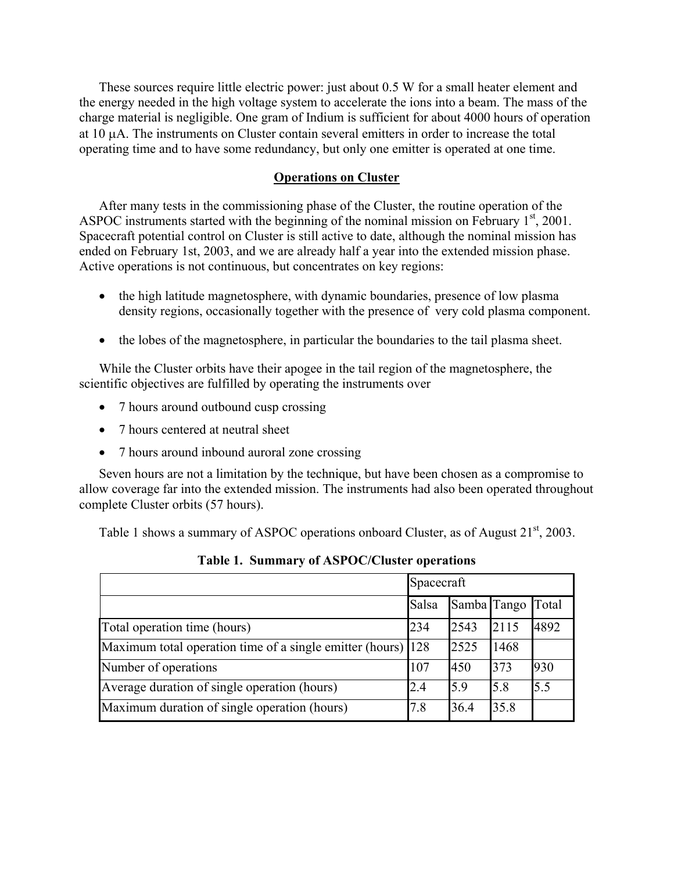These sources require little electric power: just about 0.5 W for a small heater element and the energy needed in the high voltage system to accelerate the ions into a beam. The mass of the charge material is negligible. One gram of Indium is sufficient for about 4000 hours of operation at 10 µA. The instruments on Cluster contain several emitters in order to increase the total operating time and to have some redundancy, but only one emitter is operated at one time.

## **Operations on Cluster**

After many tests in the commissioning phase of the Cluster, the routine operation of the ASPOC instruments started with the beginning of the nominal mission on February  $1<sup>st</sup>$ , 2001. Spacecraft potential control on Cluster is still active to date, although the nominal mission has ended on February 1st, 2003, and we are already half a year into the extended mission phase. Active operations is not continuous, but concentrates on key regions:

- the high latitude magnetosphere, with dynamic boundaries, presence of low plasma density regions, occasionally together with the presence of very cold plasma component.
- the lobes of the magnetosphere, in particular the boundaries to the tail plasma sheet.

While the Cluster orbits have their apogee in the tail region of the magnetosphere, the scientific objectives are fulfilled by operating the instruments over

- 7 hours around outbound cusp crossing
- 7 hours centered at neutral sheet
- 7 hours around inbound auroral zone crossing

Seven hours are not a limitation by the technique, but have been chosen as a compromise to allow coverage far into the extended mission. The instruments had also been operated throughout complete Cluster orbits (57 hours).

Table 1 shows a summary of ASPOC operations onboard Cluster, as of August  $21<sup>st</sup>$ , 2003.

|                                                              | Spacecraft |             |      |       |
|--------------------------------------------------------------|------------|-------------|------|-------|
|                                                              | Salsa      | Samba Tango |      | Total |
| Total operation time (hours)                                 | 234        | 2543        | 2115 | 4892  |
| Maximum total operation time of a single emitter (hours) 128 |            | 2525        | 1468 |       |
| Number of operations                                         | 107        | 450         | 373  | 930   |
| Average duration of single operation (hours)                 | 2.4        | 5.9         | 5.8  | 5.5   |
| Maximum duration of single operation (hours)                 | 7.8        | 36.4        | 35.8 |       |

**Table 1. Summary of ASPOC/Cluster operations**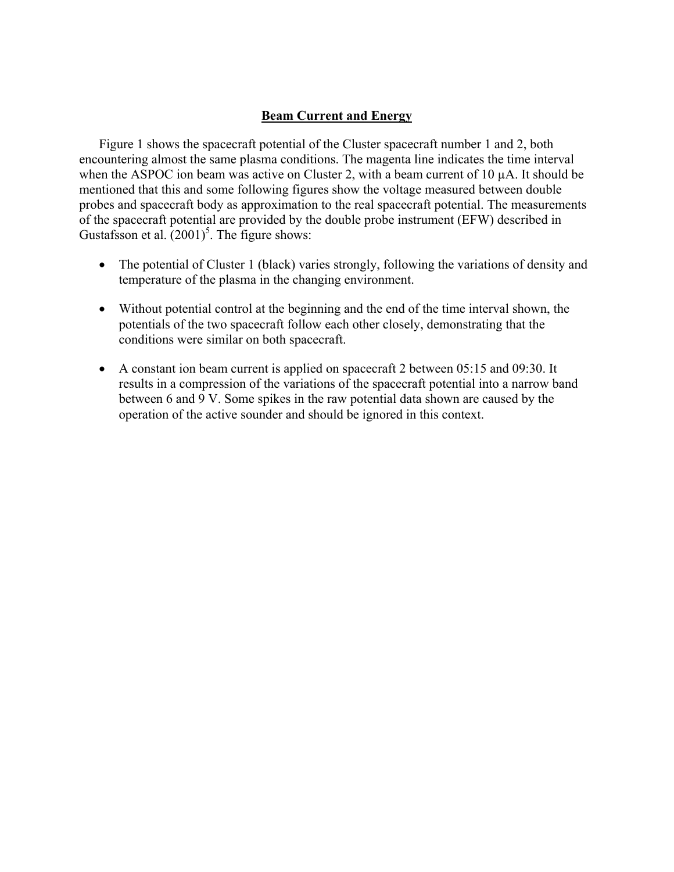# **Beam Current and Energy**

Figure 1 shows the spacecraft potential of the Cluster spacecraft number 1 and 2, both encountering almost the same plasma conditions. The magenta line indicates the time interval when the ASPOC ion beam was active on Cluster 2, with a beam current of 10  $\mu$ A. It should be mentioned that this and some following figures show the voltage measured between double probes and spacecraft body as approximation to the real spacecraft potential. The measurements of the spacecraft potential are provided by the double probe instrument (EFW) described in Gustafsson et al.  $(2001)^5$ . The figure shows:

- The potential of Cluster 1 (black) varies strongly, following the variations of density and temperature of the plasma in the changing environment.
- Without potential control at the beginning and the end of the time interval shown, the potentials of the two spacecraft follow each other closely, demonstrating that the conditions were similar on both spacecraft.
- A constant ion beam current is applied on spacecraft 2 between 05:15 and 09:30. It results in a compression of the variations of the spacecraft potential into a narrow band between 6 and 9 V. Some spikes in the raw potential data shown are caused by the operation of the active sounder and should be ignored in this context.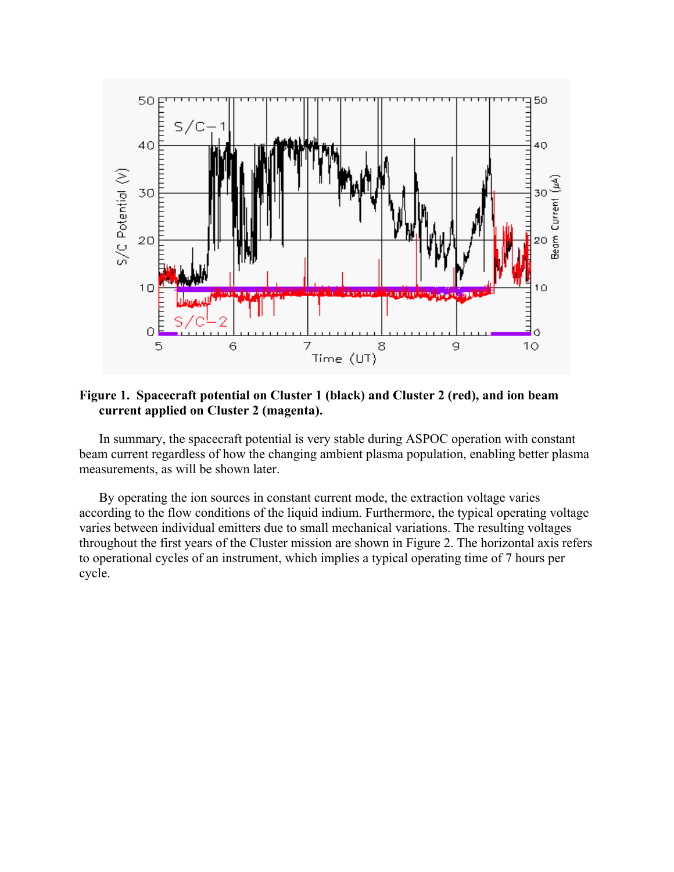

**Figure 1. Spacecraft potential on Cluster 1 (black) and Cluster 2 (red), and ion beam current applied on Cluster 2 (magenta).** 

In summary, the spacecraft potential is very stable during ASPOC operation with constant beam current regardless of how the changing ambient plasma population, enabling better plasma measurements, as will be shown later.

By operating the ion sources in constant current mode, the extraction voltage varies according to the flow conditions of the liquid indium. Furthermore, the typical operating voltage varies between individual emitters due to small mechanical variations. The resulting voltages throughout the first years of the Cluster mission are shown in Figure 2. The horizontal axis refers to operational cycles of an instrument, which implies a typical operating time of 7 hours per cycle.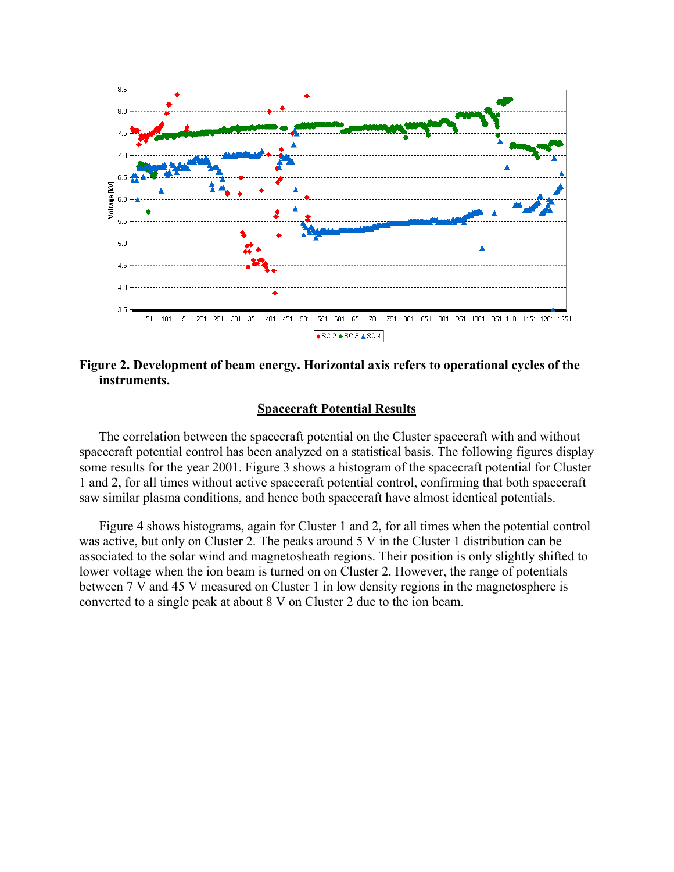

**Figure 2. Development of beam energy. Horizontal axis refers to operational cycles of the instruments.**

#### **Spacecraft Potential Results**

The correlation between the spacecraft potential on the Cluster spacecraft with and without spacecraft potential control has been analyzed on a statistical basis. The following figures display some results for the year 2001. Figure 3 shows a histogram of the spacecraft potential for Cluster 1 and 2, for all times without active spacecraft potential control, confirming that both spacecraft saw similar plasma conditions, and hence both spacecraft have almost identical potentials.

Figure 4 shows histograms, again for Cluster 1 and 2, for all times when the potential control was active, but only on Cluster 2. The peaks around 5 V in the Cluster 1 distribution can be associated to the solar wind and magnetosheath regions. Their position is only slightly shifted to lower voltage when the ion beam is turned on on Cluster 2. However, the range of potentials between 7 V and 45 V measured on Cluster 1 in low density regions in the magnetosphere is converted to a single peak at about 8 V on Cluster 2 due to the ion beam.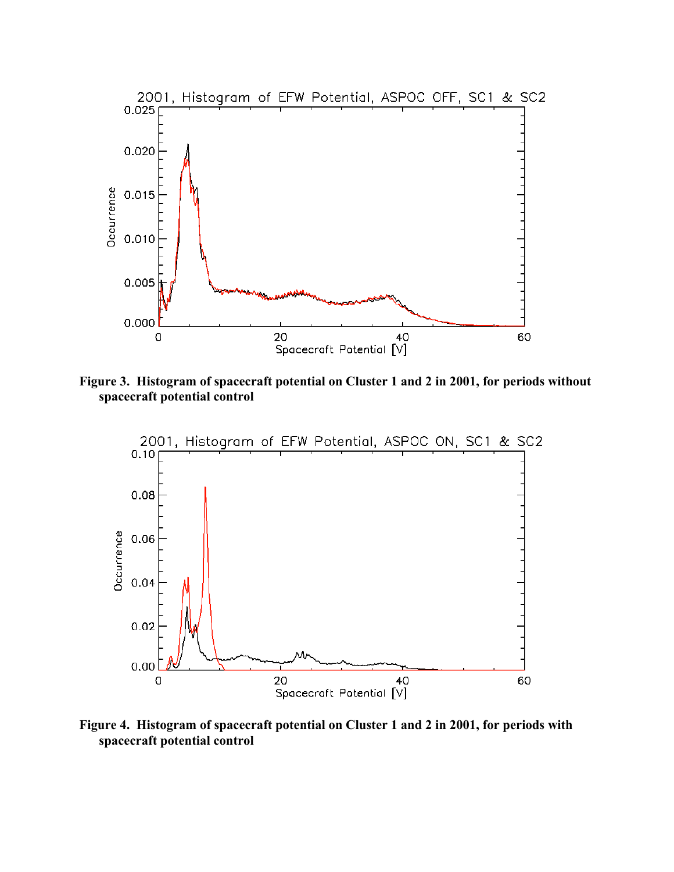

**Figure 3. Histogram of spacecraft potential on Cluster 1 and 2 in 2001, for periods without spacecraft potential control** 



**Figure 4. Histogram of spacecraft potential on Cluster 1 and 2 in 2001, for periods with spacecraft potential control**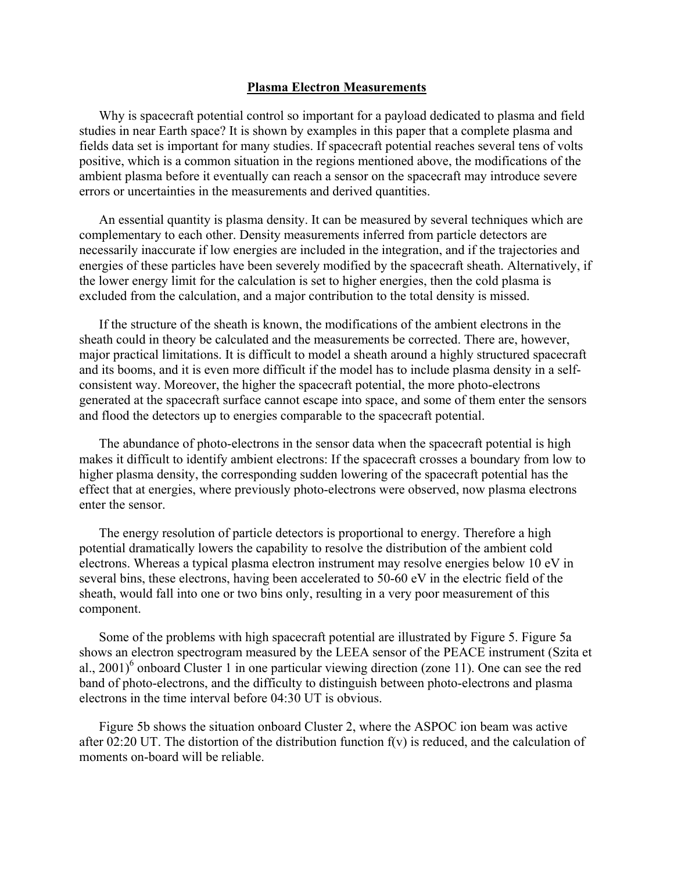#### **Plasma Electron Measurements**

Why is spacecraft potential control so important for a payload dedicated to plasma and field studies in near Earth space? It is shown by examples in this paper that a complete plasma and fields data set is important for many studies. If spacecraft potential reaches several tens of volts positive, which is a common situation in the regions mentioned above, the modifications of the ambient plasma before it eventually can reach a sensor on the spacecraft may introduce severe errors or uncertainties in the measurements and derived quantities.

An essential quantity is plasma density. It can be measured by several techniques which are complementary to each other. Density measurements inferred from particle detectors are necessarily inaccurate if low energies are included in the integration, and if the trajectories and energies of these particles have been severely modified by the spacecraft sheath. Alternatively, if the lower energy limit for the calculation is set to higher energies, then the cold plasma is excluded from the calculation, and a major contribution to the total density is missed.

If the structure of the sheath is known, the modifications of the ambient electrons in the sheath could in theory be calculated and the measurements be corrected. There are, however, major practical limitations. It is difficult to model a sheath around a highly structured spacecraft and its booms, and it is even more difficult if the model has to include plasma density in a selfconsistent way. Moreover, the higher the spacecraft potential, the more photo-electrons generated at the spacecraft surface cannot escape into space, and some of them enter the sensors and flood the detectors up to energies comparable to the spacecraft potential.

The abundance of photo-electrons in the sensor data when the spacecraft potential is high makes it difficult to identify ambient electrons: If the spacecraft crosses a boundary from low to higher plasma density, the corresponding sudden lowering of the spacecraft potential has the effect that at energies, where previously photo-electrons were observed, now plasma electrons enter the sensor.

The energy resolution of particle detectors is proportional to energy. Therefore a high potential dramatically lowers the capability to resolve the distribution of the ambient cold electrons. Whereas a typical plasma electron instrument may resolve energies below 10 eV in several bins, these electrons, having been accelerated to 50-60 eV in the electric field of the sheath, would fall into one or two bins only, resulting in a very poor measurement of this component.

Some of the problems with high spacecraft potential are illustrated by Figure 5. Figure 5a shows an electron spectrogram measured by the LEEA sensor of the PEACE instrument (Szita et al., 2001)<sup>6</sup> onboard Cluster 1 in one particular viewing direction (zone 11). One can see the red band of photo-electrons, and the difficulty to distinguish between photo-electrons and plasma electrons in the time interval before 04:30 UT is obvious.

Figure 5b shows the situation onboard Cluster 2, where the ASPOC ion beam was active after 02:20 UT. The distortion of the distribution function  $f(v)$  is reduced, and the calculation of moments on-board will be reliable.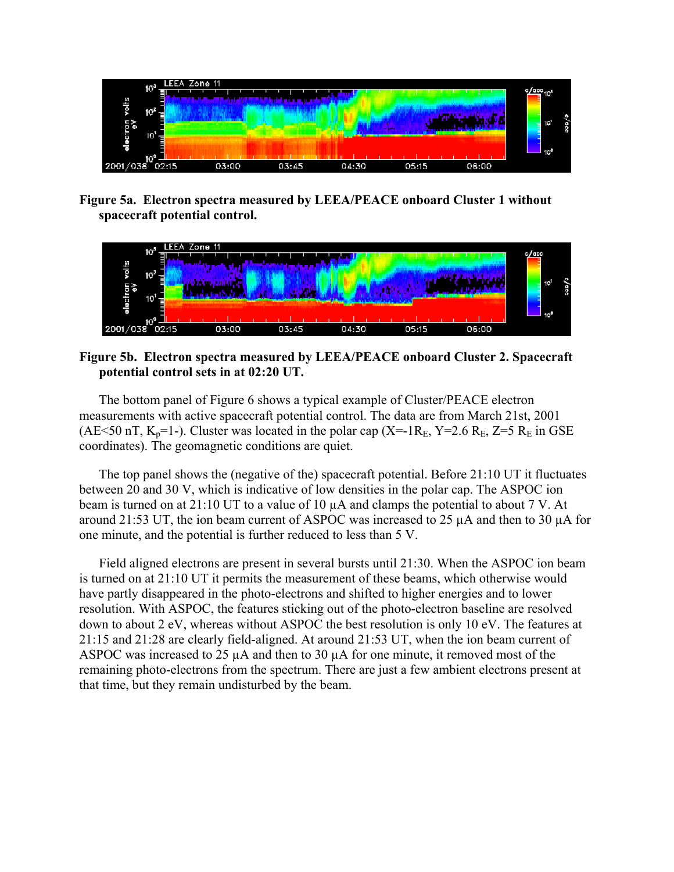

**Figure 5a. Electron spectra measured by LEEA/PEACE onboard Cluster 1 without spacecraft potential control.** 



## **Figure 5b. Electron spectra measured by LEEA/PEACE onboard Cluster 2. Spacecraft potential control sets in at 02:20 UT.**

The bottom panel of Figure 6 shows a typical example of Cluster/PEACE electron measurements with active spacecraft potential control. The data are from March 21st, 2001 (AE<50 nT,  $K_p$ =1-). Cluster was located in the polar cap (X=-1R<sub>E</sub>, Y=2.6 R<sub>E</sub>, Z=5 R<sub>E</sub> in GSE coordinates). The geomagnetic conditions are quiet.

The top panel shows the (negative of the) spacecraft potential. Before 21:10 UT it fluctuates between 20 and 30 V, which is indicative of low densities in the polar cap. The ASPOC ion beam is turned on at 21:10 UT to a value of 10  $\mu$ A and clamps the potential to about 7 V. At around 21:53 UT, the ion beam current of ASPOC was increased to 25  $\mu$ A and then to 30  $\mu$ A for one minute, and the potential is further reduced to less than 5 V.

Field aligned electrons are present in several bursts until 21:30. When the ASPOC ion beam is turned on at 21:10 UT it permits the measurement of these beams, which otherwise would have partly disappeared in the photo-electrons and shifted to higher energies and to lower resolution. With ASPOC, the features sticking out of the photo-electron baseline are resolved down to about 2 eV, whereas without ASPOC the best resolution is only 10 eV. The features at 21:15 and 21:28 are clearly field-aligned. At around 21:53 UT, when the ion beam current of ASPOC was increased to 25  $\mu$ A and then to 30  $\mu$ A for one minute, it removed most of the remaining photo-electrons from the spectrum. There are just a few ambient electrons present at that time, but they remain undisturbed by the beam.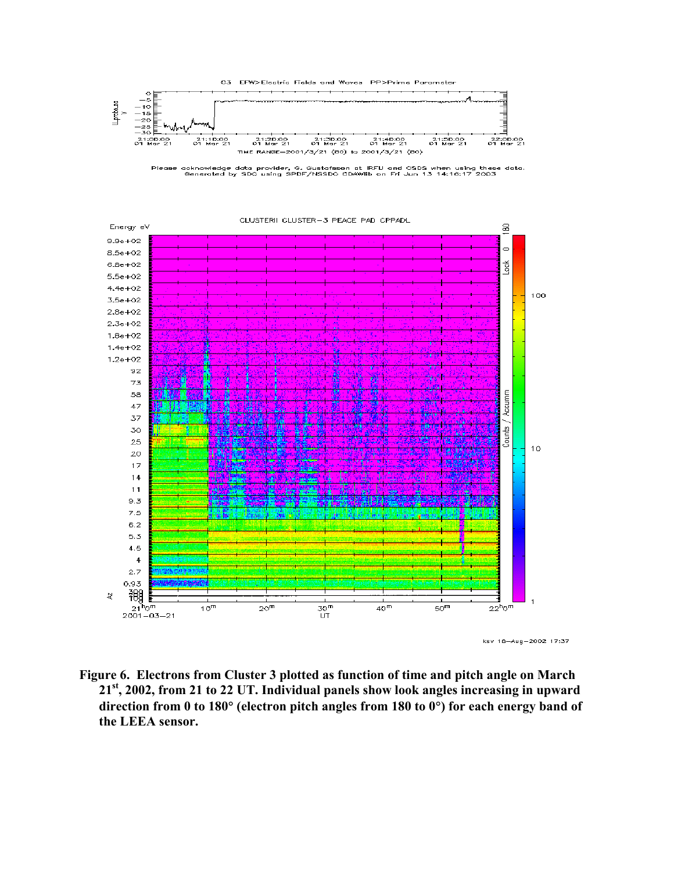

Please acknowledge data provider, G. Gustafsson at IRFU and CSDS when using these data.<br>Generated by SDC using SPDF/NSSDC CDAWlib on Fri Jun 13 14:16:17 2003



**Figure 6. Electrons from Cluster 3 plotted as function of time and pitch angle on March 21st, 2002, from 21 to 22 UT. Individual panels show look angles increasing in upward direction from 0 to 180**° **(electron pitch angles from 180 to 0**°**) for each energy band of the LEEA sensor.**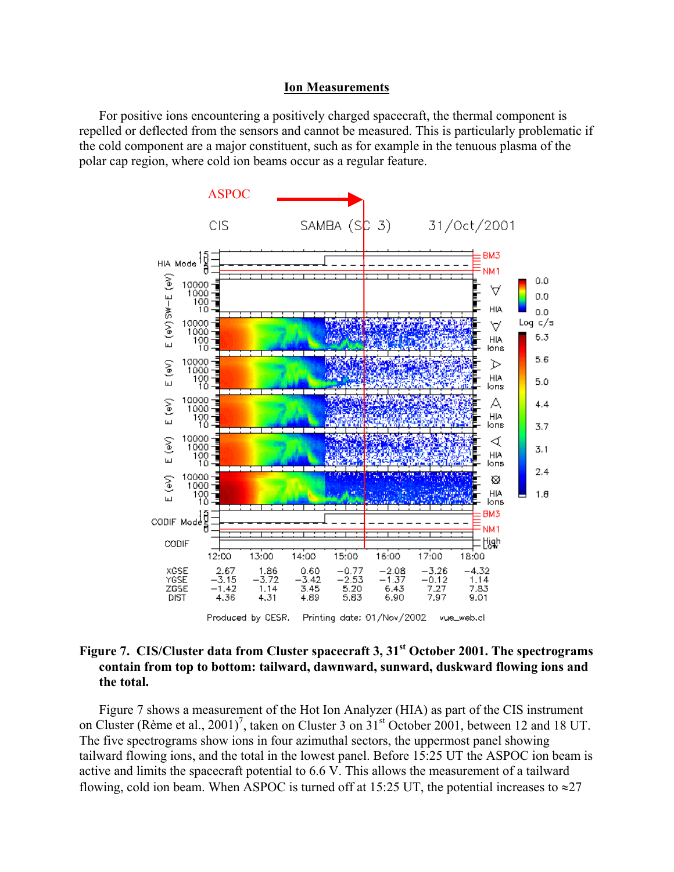#### **Ion Measurements**

For positive ions encountering a positively charged spacecraft, the thermal component is repelled or deflected from the sensors and cannot be measured. This is particularly problematic if the cold component are a major constituent, such as for example in the tenuous plasma of the polar cap region, where cold ion beams occur as a regular feature.



## Figure 7. CIS/Cluster data from Cluster spacecraft 3, 31<sup>st</sup> October 2001. The spectrograms **contain from top to bottom: tailward, dawnward, sunward, duskward flowing ions and the total.**

Figure 7 shows a measurement of the Hot Ion Analyzer (HIA) as part of the CIS instrument on Cluster (Rème et al., 2001)<sup>7</sup>, taken on Cluster 3 on  $31<sup>st</sup>$  October 2001, between 12 and 18 UT. The five spectrograms show ions in four azimuthal sectors, the uppermost panel showing tailward flowing ions, and the total in the lowest panel. Before 15:25 UT the ASPOC ion beam is active and limits the spacecraft potential to 6.6 V. This allows the measurement of a tailward flowing, cold ion beam. When ASPOC is turned off at 15:25 UT, the potential increases to  $\approx$ 27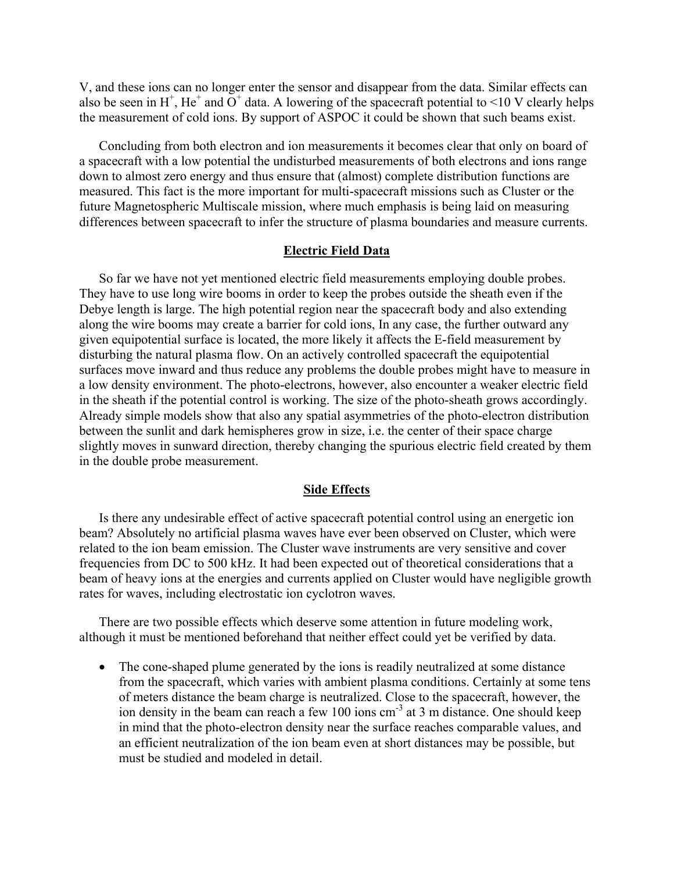V, and these ions can no longer enter the sensor and disappear from the data. Similar effects can also be seen in H<sup>+</sup>, He<sup>+</sup> and O<sup>+</sup> data. A lowering of the spacecraft potential to <10 V clearly helps the measurement of cold ions. By support of ASPOC it could be shown that such beams exist.

Concluding from both electron and ion measurements it becomes clear that only on board of a spacecraft with a low potential the undisturbed measurements of both electrons and ions range down to almost zero energy and thus ensure that (almost) complete distribution functions are measured. This fact is the more important for multi-spacecraft missions such as Cluster or the future Magnetospheric Multiscale mission, where much emphasis is being laid on measuring differences between spacecraft to infer the structure of plasma boundaries and measure currents.

## **Electric Field Data**

So far we have not yet mentioned electric field measurements employing double probes. They have to use long wire booms in order to keep the probes outside the sheath even if the Debye length is large. The high potential region near the spacecraft body and also extending along the wire booms may create a barrier for cold ions, In any case, the further outward any given equipotential surface is located, the more likely it affects the E-field measurement by disturbing the natural plasma flow. On an actively controlled spacecraft the equipotential surfaces move inward and thus reduce any problems the double probes might have to measure in a low density environment. The photo-electrons, however, also encounter a weaker electric field in the sheath if the potential control is working. The size of the photo-sheath grows accordingly. Already simple models show that also any spatial asymmetries of the photo-electron distribution between the sunlit and dark hemispheres grow in size, i.e. the center of their space charge slightly moves in sunward direction, thereby changing the spurious electric field created by them in the double probe measurement.

### **Side Effects**

Is there any undesirable effect of active spacecraft potential control using an energetic ion beam? Absolutely no artificial plasma waves have ever been observed on Cluster, which were related to the ion beam emission. The Cluster wave instruments are very sensitive and cover frequencies from DC to 500 kHz. It had been expected out of theoretical considerations that a beam of heavy ions at the energies and currents applied on Cluster would have negligible growth rates for waves, including electrostatic ion cyclotron waves.

There are two possible effects which deserve some attention in future modeling work, although it must be mentioned beforehand that neither effect could yet be verified by data.

• The cone-shaped plume generated by the ions is readily neutralized at some distance from the spacecraft, which varies with ambient plasma conditions. Certainly at some tens of meters distance the beam charge is neutralized. Close to the spacecraft, however, the ion density in the beam can reach a few 100 ions cm<sup>-3</sup> at 3 m distance. One should keep in mind that the photo-electron density near the surface reaches comparable values, and an efficient neutralization of the ion beam even at short distances may be possible, but must be studied and modeled in detail.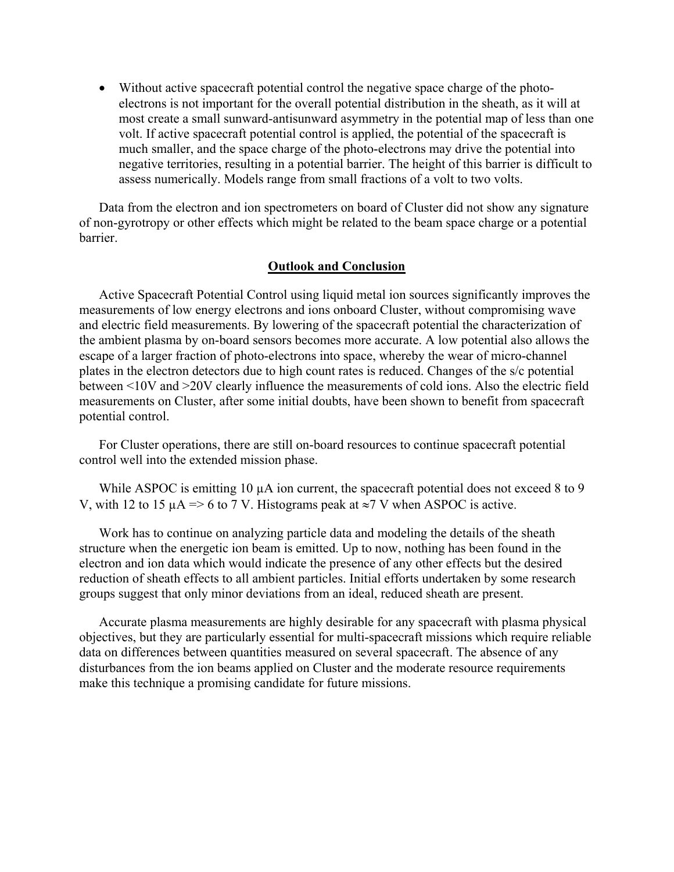• Without active spacecraft potential control the negative space charge of the photoelectrons is not important for the overall potential distribution in the sheath, as it will at most create a small sunward-antisunward asymmetry in the potential map of less than one volt. If active spacecraft potential control is applied, the potential of the spacecraft is much smaller, and the space charge of the photo-electrons may drive the potential into negative territories, resulting in a potential barrier. The height of this barrier is difficult to assess numerically. Models range from small fractions of a volt to two volts.

Data from the electron and ion spectrometers on board of Cluster did not show any signature of non-gyrotropy or other effects which might be related to the beam space charge or a potential barrier.

## **Outlook and Conclusion**

Active Spacecraft Potential Control using liquid metal ion sources significantly improves the measurements of low energy electrons and ions onboard Cluster, without compromising wave and electric field measurements. By lowering of the spacecraft potential the characterization of the ambient plasma by on-board sensors becomes more accurate. A low potential also allows the escape of a larger fraction of photo-electrons into space, whereby the wear of micro-channel plates in the electron detectors due to high count rates is reduced. Changes of the s/c potential between <10V and >20V clearly influence the measurements of cold ions. Also the electric field measurements on Cluster, after some initial doubts, have been shown to benefit from spacecraft potential control.

For Cluster operations, there are still on-board resources to continue spacecraft potential control well into the extended mission phase.

While ASPOC is emitting 10  $\mu$ A ion current, the spacecraft potential does not exceed 8 to 9 V, with 12 to 15  $\mu$ A => 6 to 7 V. Histograms peak at ≈7 V when ASPOC is active.

Work has to continue on analyzing particle data and modeling the details of the sheath structure when the energetic ion beam is emitted. Up to now, nothing has been found in the electron and ion data which would indicate the presence of any other effects but the desired reduction of sheath effects to all ambient particles. Initial efforts undertaken by some research groups suggest that only minor deviations from an ideal, reduced sheath are present.

Accurate plasma measurements are highly desirable for any spacecraft with plasma physical objectives, but they are particularly essential for multi-spacecraft missions which require reliable data on differences between quantities measured on several spacecraft. The absence of any disturbances from the ion beams applied on Cluster and the moderate resource requirements make this technique a promising candidate for future missions.